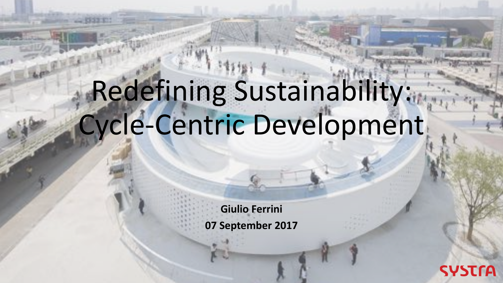## Redefining Sustainability: Cycle-Centric Development

**Giulio Ferrini 07 September 2017**

**SYSTrA**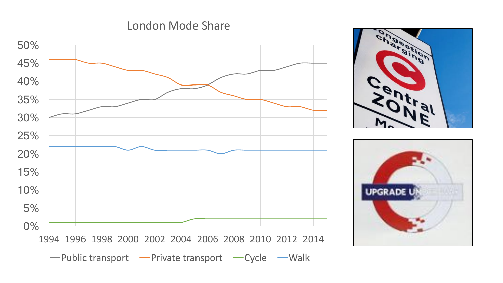## London Mode Share



 $-P$ ublic transport  $-P$ rivate transport  $-Q$ ycle  $-W$ alk

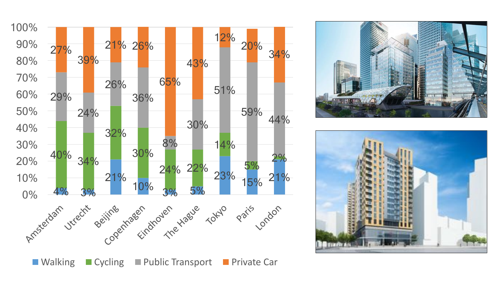



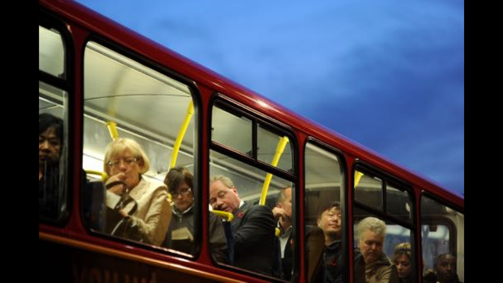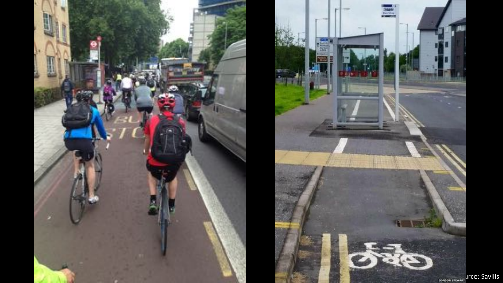

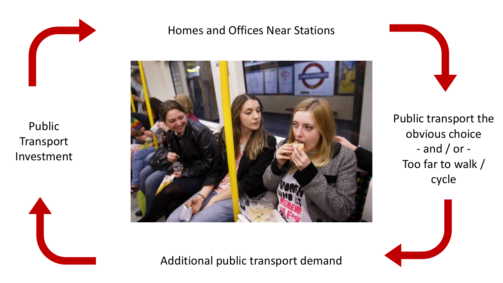Public Transport Investment

## Homes and Offices Near Stations





Public transport the obvious choice  $-$  and  $/$  or  $-$ Too far to walk / cycle



Additional public transport demand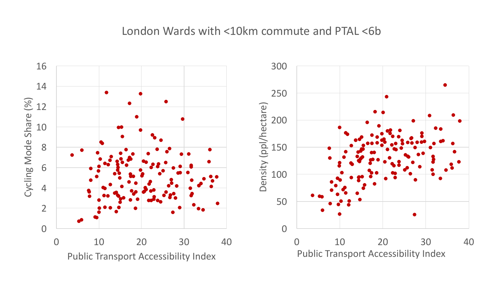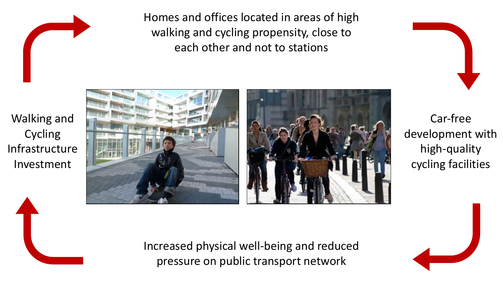

Homes and offices located in areas of high walking and cycling propensity, close to each other and not to stations



Car-free development with high-quality cycling facilities

Walking and Cycling Infrastructure Investment





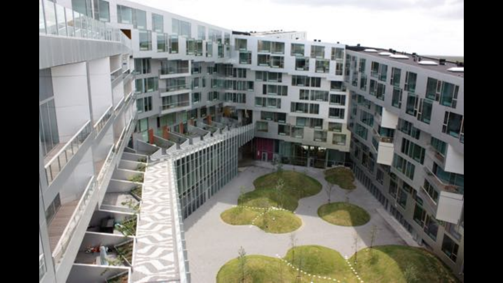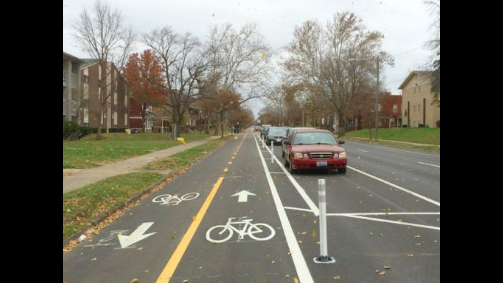